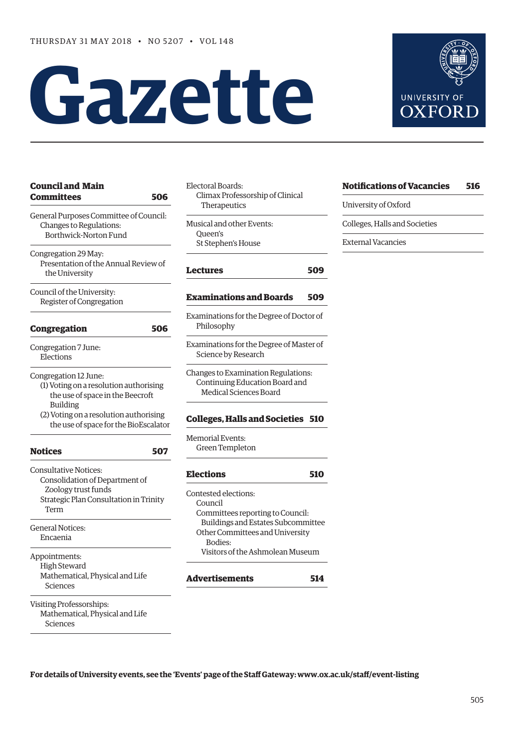# **Gazette**

| <b>Council and Main</b><br>Committees                                                                           | 506 | Electora<br>Clim<br>The |
|-----------------------------------------------------------------------------------------------------------------|-----|-------------------------|
| General Purposes Committee of Council:<br>Changes to Regulations:<br>Borthwick-Norton Fund                      |     | Musical<br>Que<br>St St |
| Congregation 29 May:<br>Presentation of the Annual Review of<br>the University                                  |     | Lectui                  |
| Council of the University:<br>Register of Congregation                                                          |     | Exami                   |
| <b>Congregation</b>                                                                                             | 506 | Examin<br>Philo         |
| Congregation 7 June:<br>Elections                                                                               |     | Examin<br>Scier         |
| Congregation 12 June:<br>(1) Voting on a resolution authorising<br>the use of space in the Beecroft<br>Building |     | Change<br>Cont<br>Me    |
| (2) Voting on a resolution authorising<br>the use of space for the BioEscalator                                 |     | Colleg                  |
| <b>Notices</b>                                                                                                  | 507 | Memor:<br>Gree          |
| <b>Consultative Notices:</b><br>Consolidation of Department of                                                  |     | Electi                  |
| Zoology trust funds<br>Strategic Plan Consultation in Trinity<br>Term                                           |     | Contest<br>Cour<br>Com  |
| <b>General Notices:</b><br>Encaenia                                                                             |     | Bui<br>Othe<br>В        |
| Appointments:<br>High Steward<br>Mathematical, Physical and Life<br>Sciences                                    |     | Vis<br>Adver            |
| Visiting Professorships:<br>Mathematical, Physical and Life<br>Sciences                                         |     |                         |

| Electoral Boards:<br>Climax Professorship of Clinical<br>Therapeutics                                                                                                                              |     |
|----------------------------------------------------------------------------------------------------------------------------------------------------------------------------------------------------|-----|
| Musical and other Events:<br>Oueen's<br>St Stephen's House                                                                                                                                         |     |
| <b>Lectures</b>                                                                                                                                                                                    | 509 |
| <b>Examinations and Boards</b>                                                                                                                                                                     | 509 |
| Examinations for the Degree of Doctor of<br>Philosophy                                                                                                                                             |     |
| Examinations for the Degree of Master of<br>Science by Research                                                                                                                                    |     |
| Changes to Examination Regulations:<br>Continuing Education Board and<br><b>Medical Sciences Board</b>                                                                                             |     |
| <b>Colleges, Halls and Societies</b>                                                                                                                                                               | 510 |
| <b>Memorial Events:</b><br><b>Green Templeton</b>                                                                                                                                                  |     |
| <b>Elections</b>                                                                                                                                                                                   | 510 |
| Contested elections:<br>Council<br>Committees reporting to Council:<br>Buildings and Estates Subcommittee<br>Other Committees and University<br><b>Bodies:</b><br>Visitors of the Ashmolean Museum |     |
| Advertisements                                                                                                                                                                                     | 514 |

| <b>Notifications of Vacancies</b> | 516 |
|-----------------------------------|-----|
| University of Oxford              |     |
| Colleges, Halls and Societies     |     |
| External Vacancies                |     |
|                                   |     |

 $\overline{\phantom{a}}$ 

**For details of University events, see the 'Events' page of the Staff Gateway: [www.ox.ac.uk/staff/event-listing](http://www.ox.ac.uk/staff/event-listing)**

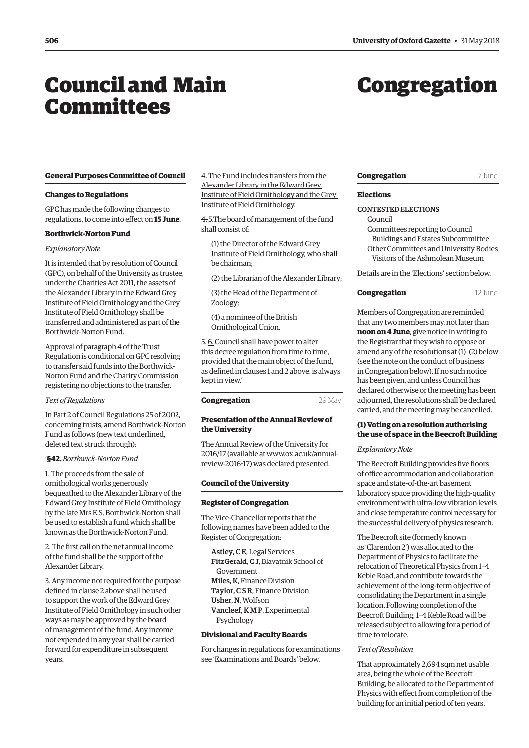# <span id="page-1-0"></span>Council and Main **Committees**

# Congregation

**General Purposes Committee of Council**

#### **Changes to Regulations**

GPC has made the following changes to regulations, to come into effect on **15 June**.

#### **Borthwick-Norton Fund**

# *Explanatory Note*

It is intended that by resolution of Council (GPC), on behalf of the University as trustee, under the Charities Act 2011, the assets of the Alexander Library in the Edward Grey Institute of Field Ornithology and the Grey Institute of Field Ornithology shall be transferred and administered as part of the Borthwick-Norton Fund.

Approval of paragraph 4 of the Trust Regulation is conditional on GPC resolving to transfer said funds into the Borthwick-Norton Fund and the Charity Commission registering no objections to the transfer.

#### *Text of Regulations*

In Part 2 of Council Regulations 25 of 2002, concerning trusts, amend Borthwick-Norton Fund as follows (new text underlined, deleted text struck through):

#### '**§42.** *Borthwick-Norton Fund*

1. The proceeds from the sale of ornithological works generously bequeathed to the Alexander Library of the Edward Grey Institute of Field Ornithology by the late Mrs E.S. Borthwick-Norton shall be used to establish a fund which shall be known as the Borthwick-Norton Fund.

2. The first call on the net annual income of the fund shall be the support of the Alexander Library.

3. Any income not required for the purpose defined in clause 2 above shall be used to support the work of the Edward Grey Institute of Field Ornithology in such other ways as may be approved by the board of management of the fund. Any income not expended in any year shall be carried forward for expenditure in subsequent years.

4. The Fund includes transfers from the Alexander Library in the Edward Grey Institute of Field Ornithology and the Grey Institute of Field Ornithology.

4. 5.The board of management of the fund shall consist of:

(1) the Director of the Edward Grey Institute of Field Ornithology, who shall be chairman;

(2) the Librarian of the Alexander Library;

(3) the Head of the Department of Zoology;

(4) a nominee of the British Ornithological Union.

5. 6. Council shall have power to alter this decree regulation from time to time, provided that the main object of the fund, as defined in clauses 1 and 2 above, is always kept in view.'

# **Congregation** 29 May

# **Presentation of the Annual Review of the University**

The Annual Review of the University for [2016/17 \(available at www.ox.ac.uk/annual](www.ox.ac.uk/annual-review-2016-17)review-2016-17) was declared presented.

# **Council of the University**

#### **Register of Congregation**

The Vice-Chancellor reports that the following names have been added to the Register of Congregation:

Astley, C E, Legal Services FitzGerald, C J, Blavatnik School of Government Miles, K, Finance Division Taylor, C S R, Finance Division Usher, N, Wolfson Vancleef, K M P, Experimental Psychology

## **Divisional and Faculty Boards**

For changes in regulations for examinations see 'Examinations and Boards' below.

## **Congregation** 7 June

#### **Elections**

# CONTESTED ELECTIONS

Council

Committees reporting to Council Buildings and Estates Subcommittee Other Committees and University Bodies Visitors of the Ashmolean Museum

Details are in the 'Elections' section below.

# **Congregation** 12 June

Members of Congregation are reminded that any two members may, not later than **noon on 4 June**, give notice in writing to the Registrar that they wish to oppose or amend any of the resolutions at (1)–(2) below (see the note on the conduct of business in Congregation below). If no such notice has been given, and unless Council has declared otherwise or the meeting has been adjourned, the resolutions shall be declared carried, and the meeting may be cancelled.

# **(1) Voting on a resolution authorising the use of space in the Beecroft Building**

#### *Explanatory Note*

The Beecroft Building provides five floors of office accommodation and collaboration space and state-of-the-art basement laboratory space providing the high-quality environment with ultra-low vibration levels and close temperature control necessary for the successful delivery of physics research.

The Beecroft site (formerly known as 'Clarendon 2') was allocated to the Department of Physics to facilitate the relocation of Theoretical Physics from 1–4 Keble Road, and contribute towards the achievement of the long-term objective of consolidating the Department in a single location. Following completion of the Beecroft Building, 1–4 Keble Road will be released subject to allowing for a period of time to relocate.

## *Text of Resolution*

That approximately 2,694 sqm net usable area, being the whole of the Beecroft Building, be allocated to the Department of Physics with effect from completion of the building for an initial period of ten years.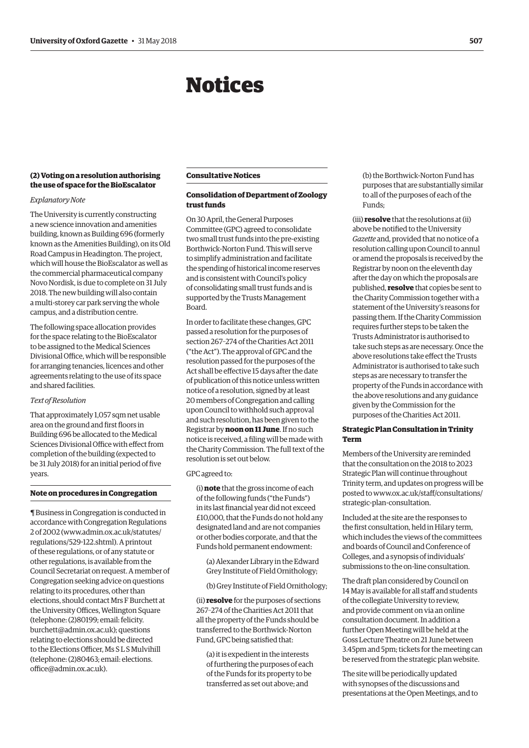# Notices

# <span id="page-2-0"></span>**(2) Voting on a resolution authorising the use of space for the BioEscalator**

# *Explanatory Note*

The University is currently constructing a new science innovation and amenities building, known as Building 696 (formerly known as the Amenities Building), on its Old Road Campus in Headington. The project, which will house the BioEscalator as well as the commercial pharmaceutical company Novo Nordisk, is due to complete on 31 July 2018. The new building will also contain a multi-storey car park serving the whole campus, and a distribution centre.

The following space allocation provides for the space relating to the BioEscalator to be assigned to the Medical Sciences Divisional Office, which will be responsible for arranging tenancies, licences and other agreements relating to the use of its space and shared facilities.

#### *Text of Resolution*

That approximately 1,057 sqm net usable area on the ground and first floors in Building 696 be allocated to the Medical Sciences Divisional Office with effect from completion of the building (expected to be 31 July 2018) for an initial period of five years.

#### **Note on procedures in Congregation**

¶ Business in Congregation is conducted in accordance with Congregation Regulations 2 of 2002 [\(www.admin.ox.ac.uk/statutes/](http://www.admin.ox.ac.uk/statutes/regulations/529-122.shtml) [regulations/529-122.shtml\). A](http://www.admin.ox.ac.uk/statutes/regulations/529-122.shtml) printout of these regulations, or of any statute or other regulations, is available from the Council Secretariat on request. A member of Congregation seeking advice on questions relating to its procedures, other than elections, should contact Mrs F Burchett at the University Offices, Wellington Square (telephone: (2)80199; email: felicity. [burchett@admin.ox.ac.uk\); questions](mailto:felicity.burchett@admin.ox.ac.uk)  relating to elections should be directed to the Elections Officer, Ms S L S Mulvihill [\(telephone: \(2\)80463; email: elections.](mailto:elections.office@admin.ox.ac.uk) office@admin.ox.ac.uk).

# **Consultative Notices**

# **Consolidation of Department of Zoology trust funds**

On 30 April, the General Purposes Committee (GPC) agreed to consolidate two small trust funds into the pre-existing Borthwick-Norton Fund. This will serve to simplify administration and facilitate the spending of historical income reserves and is consistent with Council's policy of consolidating small trust funds and is supported by the Trusts Management Board.

In order to facilitate these changes, GPC passed a resolution for the purposes of section 267–274 of the Charities Act 2011 ("the Act"). The approval of GPC and the resolution passed for the purposes of the Act shall be effective 15 days after the date of publication of this notice unless written notice of a resolution, signed by at least 20 members of Congregation and calling upon Council to withhold such approval and such resolution, has been given to the Registrar by **noon on 11 June**. If no such notice is received, a filing will be made with the Charity Commission. The full text of the resolution is set out below.

# GPC agreed to:

(i) **note** that the gross income of each of the following funds ("the Funds") in its last financial year did not exceed £10,000, that the Funds do not hold any designated land and are not companies or other bodies corporate, and that the Funds hold permanent endowment:

- (a) Alexander Library in the Edward Grey Institute of Field Ornithology;
- (b) Grey Institute of Field Ornithology;

(ii) **resolve** for the purposes of sections 267–274 of the Charities Act 2011 that all the property of the Funds should be transferred to the Borthwick-Norton Fund, GPC being satisfied that:

(a) it is expedient in the interests of furthering the purposes of each of the Funds for its property to be transferred as set out above; and

(b) the Borthwick-Norton Fund has purposes that are substantially similar to all of the purposes of each of the Funds;

(iii) **resolve** that the resolutions at (ii) above be notified to the University *Gazette* and, provided that no notice of a resolution calling upon Council to annul or amend the proposals is received by the Registrar by noon on the eleventh day after the day on which the proposals are published, **resolve** that copies be sent to the Charity Commission together with a statement of the University's reasons for passing them. If the Charity Commission requires further steps to be taken the Trusts Administrator is authorised to take such steps as are necessary. Once the above resolutions take effect the Trusts Administrator is authorised to take such steps as are necessary to transfer the property of the Funds in accordance with the above resolutions and any guidance given by the Commission for the purposes of the Charities Act 2011.

# **Strategic Plan Consultation in Trinity Term**

Members of the University are reminded that the consultation on the 2018 to 2023 Strategic Plan will continue throughout Trinity term, and updates on progress will be [posted to www.ox.ac.uk/staff/consultations/](www.ox.ac.uk/staff/consultations/strategic-plan-consultation) strategic-plan-consultation.

Included at the site are the responses to the first consultation, held in Hilary term, which includes the views of the committees and boards of Council and Conference of Colleges, and a synopsis of individuals' submissions to the on-line consultation.

The draft plan considered by Council on 14 May is available for all staff and students of the collegiate University to review, and provide comment on via an online consultation document. In addition a further Open Meeting will be held at the Goss Lecture Theatre on 21 June between 3.45pm and 5pm; tickets for the meeting can be reserved from the strategic plan website.

The site will be periodically updated with synopses of the discussions and presentations at the Open Meetings, and to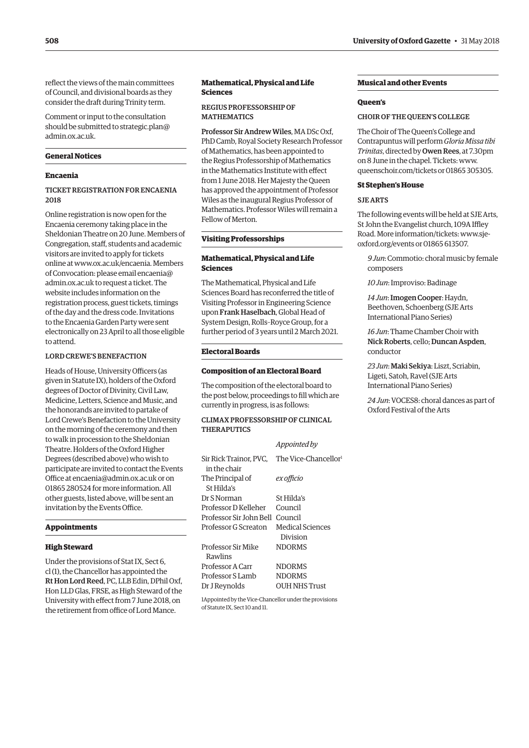reflect the views of the main committees of Council, and divisional boards as they consider the draft during Trinity term.

Comment or input to the consultation [should be submitted to strategic.plan@](mailto:strategic.plan@admin.ox.ac.uk) admin.ox.ac.uk.

# **General Notices**

# **Encaenia**

# TICKET REGISTRATION FOR ENCAENIA 2018

Online registration is now open for the Encaenia ceremony taking place in the Sheldonian Theatre on 20 June. Members of Congregation, staff, students and academic visitors are invited to apply for tickets online at [www.ox.ac.uk/encaenia. M](http://www.ox.ac.uk/encaenia)embers [of Convocation: please email encaenia@](mailto:encaenia@admin.ox.ac.uk) admin.ox.ac.uk to request a ticket. The website includes information on the registration process, guest tickets, timings of the day and the dress code. Invitations to the Encaenia Garden Party were sent electronically on 23 April to all those eligible to attend.

# LORD CREWE'S BENEFACTION

Heads of House, University Officers (as given in Statute IX), holders of the Oxford degrees of Doctor of Divinity, Civil Law, Medicine, Letters, Science and Music, and the honorands are invited to partake of Lord Crewe's Benefaction to the University on the morning of the ceremony and then to walk in procession to the Sheldonian Theatre. Holders of the Oxford Higher Degrees (described above) who wish to participate are invited to contact the Events Office at [encaenia@admin.ox.ac.uk or](mailto:encaenia@admin.ox.ac.uk) on 01865 280524 for more information. All other guests, listed above, will be sent an invitation by the Events Office.

#### **Appointments**

#### **High Steward**

Under the provisions of Stat IX, Sect 6, cl (1), the Chancellor has appointed the Rt Hon Lord Reed, PC, LLB Edin, DPhil Oxf, Hon LLD Glas, FRSE, as High Steward of the University with effect from 7 June 2018, on the retirement from office of Lord Mance.

# **Mathematical, Physical and Life Sciences**

# REGIUS PROFESSORSHIP OF **MATHEMATICS**

Professor Sir Andrew Wiles, MA DSc Oxf, PhD Camb, Royal Society Research Professor of Mathematics, has been appointed to the Regius Professorship of Mathematics in the Mathematics Institute with effect from 1 June 2018. Her Majesty the Queen has approved the appointment of Professor Wiles as the inaugural Regius Professor of Mathematics. Professor Wiles will remain a Fellow of Merton.

# **Visiting Professorships**

# **Mathematical, Physical and Life Sciences**

The Mathematical, Physical and Life Sciences Board has reconferred the title of Visiting Professor in Engineering Science upon Frank Haselbach, Global Head of System Design, Rolls–Royce Group, for a further period of 3 years until 2 March 2021.

#### **Electoral Boards**

#### **Composition of an Electoral Board**

The composition of the electoral board to the post below, proceedings to fill which are currently in progress, is as follows:

# CLIMAX PROFESSORSHIP OF CLINICAL **THERAPUTICS**

|                                        | Appointed by                 |
|----------------------------------------|------------------------------|
| Sir Rick Trainor. PVC.<br>in the chair | The Vice-Chancellor!         |
| The Principal of<br>St Hilda's         | ex officio                   |
| Dr S Norman                            | St Hilda's                   |
| Professor D Kelleher                   | Council                      |
| Professor Sir John Bell                | Council                      |
| Professor G Screaton                   | Medical Sciences<br>Division |
| Professor Sir Mike<br>Rawlins          | <b>NDORMS</b>                |
| Professor A Carr                       | <b>NDORMS</b>                |
| Professor S Lamb                       | <b>NDORMS</b>                |
| Dr J Reynolds                          | <b>OUH NHS Trust</b>         |

1Appointed by the Vice-Chancellor under the provisions of Statute IX, Sect 10 and 11.

# **Musical and other Events**

#### **Queen's**

## CHOIR OF THE QUEEN'S COLLEGE

The Choir of The Queen's College and Contrapuntus will perform *Gloria Missa tibi Trinitas*, directed by Owen Rees, at 7.30pm on 8 June in the chapel. Tickets: [www.](http://www.queenschoir.com/tickets) [queenschoir.com/tickets or](http://www.queenschoir.com/tickets) 01865 305305.

# **St Stephen's House**

# SJE ARTS

The following events will be held at SJE Arts, St John the Evangelist church, 109A Iffley [Road. More information/tickets: www.sje](https://www.sje-oxford.org/events.html)oxford.org/events or 01865 613507.

*9 Jun*: Commotio: choral music by female composers

*10 Jun*: Improviso: Badinage

*14 Jun*: Imogen Cooper: Haydn, Beethoven, Schoenberg (SJE Arts International Piano Series)

*16 Jun*: Thame Chamber Choir with Nick Roberts, cello; Duncan Aspden, conductor

*23 Jun*: Maki Sekiya: Liszt, Scriabin, Ligeti, Satoh, Ravel (SJE Arts International Piano Series)

*24 Jun*: VOCES8: choral dances as part of Oxford Festival of the Arts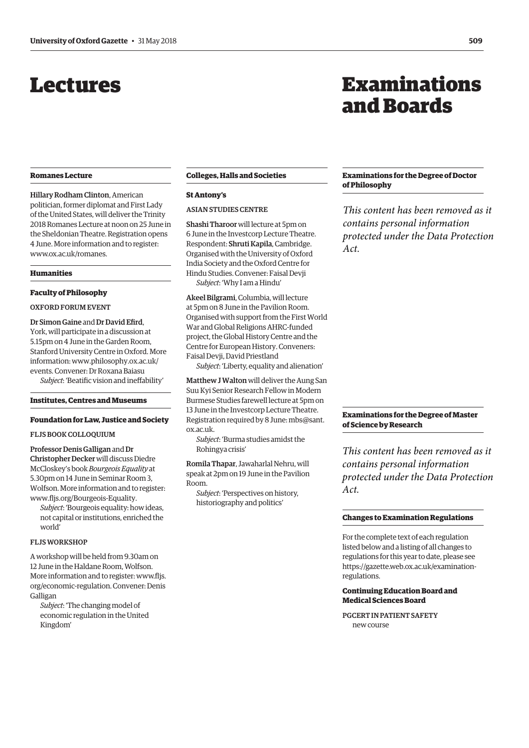# <span id="page-4-0"></span>Lectures

#### **Romanes Lecture**

Hillary Rodham Clinton, American politician, former diplomat and First Lady of the United States, will deliver the Trinity 2018 Romanes Lecture at noon on 25 June in the Sheldonian Theatre. Registration opens 4 June. More information and to register: [www.ox.ac.uk/romanes.](http://www.ox.ac.uk/romanes)

#### **Humanities**

# **Faculty of Philosophy**

# OXFORD FORUM EVENT

Dr Simon Gaine and Dr David Efird, York, will participate in a discussion at 5.15pm on 4 June in the Garden Room, Stanford University Centre in Oxford. More [information: www.philosophy.ox.ac.uk/](www.philosophy.ox.ac.uk/events) events. Convener: Dr Roxana Baiasu *Subject*: 'Beatific vision and ineffability'

**Institutes, Centres and Museums** 

# **Foundation for Law, Justice and Society**

FLJS BOOK COLLOQUIUM

Professor Denis Galligan and Dr Christopher Decker will discuss Diedre McCloskey's book *Bourgeois Equality* at 5.30pm on 14 June in Seminar Room 3, Wolfson. More information and to register: [www.fljs.org/Bourgeois-Equality.](http://www.fljs.org/Bourgeois-Equality)

*Subject*: 'Bourgeois equality: how ideas, not capital or institutions, enriched the world'

# FLJS WORKSHOP

A workshop will be held from 9.30am on 12 June in the Haldane Room, Wolfson. More information and to register: www.fljs. [org/economic-regulation. Convener: Denis](www.fljs.org/economic-regulation)  Galligan

*Subject*: 'The changing model of economic regulation in the United Kingdom'

# **Colleges, Halls and Societies**

#### **St Antony's**

# ASIAN STUDIES CENTRE

Shashi Tharoor will lecture at 5pm on 6 June in the Investcorp Lecture Theatre. Respondent: Shruti Kapila, Cambridge. Organised with the University of Oxford India Society and the Oxford Centre for Hindu Studies. Convener: Faisal Devji *Subject*: 'Why I am a Hindu'

Akeel Bilgrami, Columbia, will lecture at 5pm on 8 June in the Pavilion Room. Organised with support from the First World War and Global Religions AHRC-funded project, the Global History Centre and the Centre for European History. Conveners: Faisal Devji, David Priestland

*Subject*: 'Liberty, equality and alienation'

Matthew J Walton will deliver the Aung San Suu Kyi Senior Research Fellow in Modern Burmese Studies farewell lecture at 5pm on 13 June in the Investcorp Lecture Theatre. [Registration required by 8 June: mbs@sant.](mailto:mbs@sant.ox.ac.uk) ox.ac.uk.

*Subject*: 'Burma studies amidst the Rohingya crisis'

Romila Thapar, Jawaharlal Nehru, will speak at 2pm on 19 June in the Pavilion Room.

*Subject*: 'Perspectives on history, historiography and politics'

# Examinations and Boards

# **Examinations for the Degree of Doctor of Philosophy**

*This content has been removed as it contains personal information protected under the Data Protection Act.*

# **Examinations for the Degree of Master of Science by Research**

*This content has been removed as it contains personal information protected under the Data Protection Act.*

## **Changes to Examination Regulations**

For the complete text of each regulation listed below and a listing of all changes to regulations for this year to date, please see [https://gazette.web.ox.ac.uk/examination](https://gazette.web.ox.ac.uk/examination-regulations-0)regulations.

# **Continuing Education Board and Medical Sciences Board**

PGCERT IN PATIENT SAFETY new course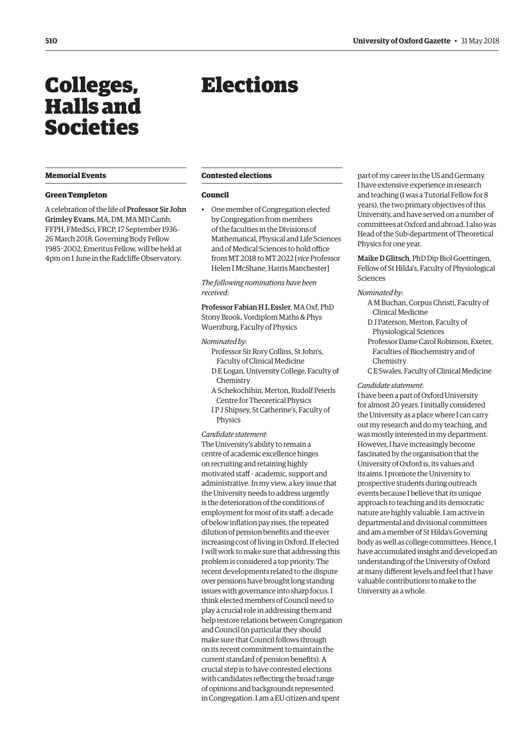# <span id="page-5-0"></span>Colleges, Halls and Societies

# **Memorial Events**

## **Green Templeton**

A celebration of the life of Professor Sir John Grimley Evans, MA, DM, MA MD Camb, FFPH, FMedSci, FRCP, 17 September 1936– 26 March 2018, Governing Body Fellow 1985–2002, Emeritus Fellow, will be held at 4pm on 1 June in the Radcliffe Observatory.

# Elections

# **Contested elections**

## **Council**

• One member of Congregation elected by Congregation from members of the faculties in the Divisions of Mathematical, Physical and Life Sciences and of Medical Sciences to hold office from MT 2018 to MT 2022 [*vice* Professor Helen I McShane, Harris Manchester]

# *The following nominations have been received*:

Professor Fabian H L Essler, MA Oxf, PhD Stony Brook, Vordiplom Maths & Phys Wuerzburg, Faculty of Physics

#### *Nominated by*:

- Professor Sir Rory Collins, St John's, Faculty of Clinical Medicine
- D E Logan, University College, Faculty of Chemistry
- A Schekochihin, Merton, Rudolf Peierls Centre for Theoretical Physics
- I P J Shipsey, St Catherine's, Faculty of Physics

*Candidate statement*:

The University's ability to remain a centre of academic excellence hinges on recruiting and retaining highly motivated staff – academic, support and administrative. In my view, a key issue that the University needs to address urgently is the deterioration of the conditions of employment for most of its staff: a decade of below inflation pay rises, the repeated dilution of pension benefits and the ever increasing cost of living in Oxford. If elected I will work to make sure that addressing this problem is considered a top priority. The recent developments related to the dispute over pensions have brought long standing issues with governance into sharp focus. I think elected members of Council need to play a crucial role in addressing them and help restore relations between Congregation and Council (in particular they should make sure that Council follows through on its recent commitment to maintain the current standard of pension benefits). A crucial step is to have contested elections with candidates reflecting the broad range of opinions and backgrounds represented in Congregation. I am a EU citizen and spent

part of my career in the US and Germany. I have extensive experience in research and teaching (I was a Tutorial Fellow for 8 years), the two primary objectives of this University, and have served on a number of committees at Oxford and abroad. I also was Head of the Sub-department of Theoretical Physics for one year.

Maike D Glitsch, PhD Dip Biol Goettingen, Fellow of St Hilda's, Faculty of Physiological Sciences

#### *Nominated by*:

- A M Buchan, Corpus Christi, Faculty of Clinical Medicine
- D J Paterson, Merton, Faculty of Physiological Sciences
- Professor Dame Carol Robinson, Exeter, Faculties of Biochemistry and of Chemistry
- C E Swales, Faculty of Clinical Medicine

#### *Candidate statement*:

I have been a part of Oxford University for almost 20 years. I initially considered the University as a place where I can carry out my research and do my teaching, and was mostly interested in my department. However, I have increasingly become fascinated by the organisation that the University of Oxford is, its values and its aims. I promote the University to prospective students during outreach events because I believe that its unique approach to teaching and its democratic nature are highly valuable. I am active in departmental and divisional committees and am a member of St Hilda's Governing body as well as college committees. Hence, I have accumulated insight and developed an understanding of the University of Oxford at many different levels and feel that I have valuable contributions to make to the University as a whole.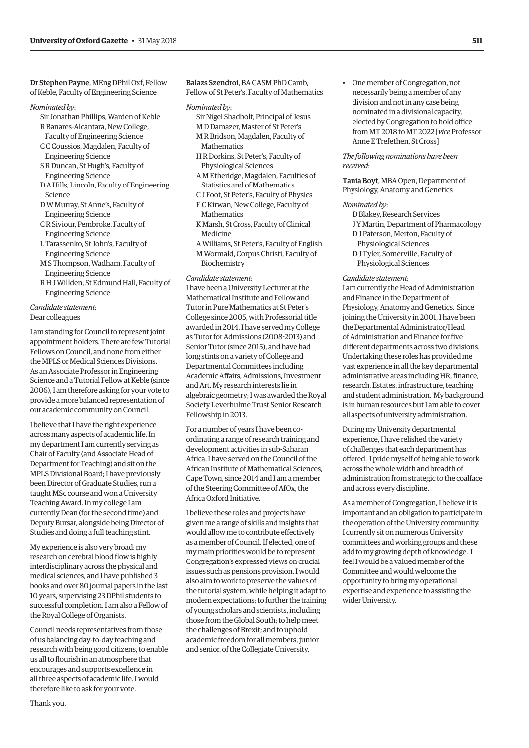Dr Stephen Payne, MEng DPhil Oxf, Fellow of Keble, Faculty of Engineering Science

#### *Nominated by*:

- Sir Jonathan Phillips, Warden of Keble R Banares-Alcantara, New College,
- Faculty of Engineering Science C C Coussios, Magdalen, Faculty of
- Engineering Science
- S R Duncan, St Hugh's, Faculty of Engineering Science
- D A Hills, Lincoln, Faculty of Engineering Science
- D W Murray, St Anne's, Faculty of Engineering Science
- C R Siviour, Pembroke, Faculty of Engineering Science
- L Tarassenko, St John's, Faculty of Engineering Science
- M S Thompson, Wadham, Faculty of Engineering Science
- R H J Willden, St Edmund Hall, Faculty of Engineering Science

# *Candidate statement*: Dear colleagues

I am standing for Council to represent joint appointment holders. There are few Tutorial Fellows on Council, and none from either the MPLS or Medical Sciences Divisions. As an Associate Professor in Engineering Science and a Tutorial Fellow at Keble (since 2006), I am therefore asking for your vote to provide a more balanced representation of our academic community on Council.

I believe that I have the right experience across many aspects of academic life. In my department I am currently serving as Chair of Faculty (and Associate Head of Department for Teaching) and sit on the MPLS Divisional Board; I have previously been Director of Graduate Studies, run a taught MSc course and won a University Teaching Award. In my college I am currently Dean (for the second time) and Deputy Bursar, alongside being Director of Studies and doing a full teaching stint.

My experience is also very broad: my research on cerebral blood flow is highly interdisciplinary across the physical and medical sciences, and I have published 3 books and over 80 journal papers in the last 10 years, supervising 23 DPhil students to successful completion. I am also a Fellow of the Royal College of Organists.

Council needs representatives from those of us balancing day-to-day teaching and research with being good citizens, to enable us all to flourish in an atmosphere that encourages and supports excellence in all three aspects of academic life. I would therefore like to ask for your vote.

Balazs Szendroi, BA CASM PhD Camb, Fellow of St Peter's, Faculty of Mathematics

#### *Nominated by*:

- Sir Nigel Shadbolt, Principal of Jesus
- M D Damazer, Master of St Peter's M R Bridson, Magdalen, Faculty of
- **Mathematics**
- H R Dorkins, St Peter's, Faculty of Physiological Sciences
- A M Etheridge, Magdalen, Faculties of Statistics and of Mathematics
- C J Foot, St Peter's, Faculty of Physics F C Kirwan, New College, Faculty of
- **Mathematics**
- K Marsh, St Cross, Faculty of Clinical Medicine
- A Williams, St Peter's, Faculty of English M Wormald, Corpus Christi, Faculty of Biochemistry

#### *Candidate statement*:

I have been a University Lecturer at the Mathematical Institute and Fellow and Tutor in Pure Mathematics at St Peter's College since 2005, with Professorial title awarded in 2014. I have served my College as Tutor for Admissions (2008-2013) and Senior Tutor (since 2015), and have had long stints on a variety of College and Departmental Committees including Academic Affairs, Admissions, Investment and Art. My research interests lie in algebraic geometry; I was awarded the Royal Society Leverhulme Trust Senior Research Fellowship in 2013.

For a number of years I have been coordinating a range of research training and development activities in sub-Saharan Africa. I have served on the Council of the African Institute of Mathematical Sciences, Cape Town, since 2014 and I am a member of the Steering Committee of AfOx, the Africa Oxford Initiative.

I believe these roles and projects have given me a range of skills and insights that would allow me to contribute effectively as a member of Council. If elected, one of my main priorities would be to represent Congregation's expressed views on crucial issues such as pensions provision. I would also aim to work to preserve the values of the tutorial system, while helping it adapt to modern expectations; to further the training of young scholars and scientists, including those from the Global South; to help meet the challenges of Brexit; and to uphold academic freedom for all members, junior and senior, of the Collegiate University.

• One member of Congregation, not necessarily being a member of any division and not in any case being nominated in a divisional capacity, elected by Congregation to hold office from MT 2018 to MT 2022 [*vice* Professor Anne E Trefethen, St Cross]

# *The following nominations have been received*:

Tania Boyt, MBA Open, Department of Physiology, Anatomy and Genetics

#### *Nominated by*:

D Blakey, Research Services J Y Martin, Department of Pharmacology D J Paterson, Merton, Faculty of Physiological Sciences D J Tyler, Somerville, Faculty of

Physiological Sciences

#### *Candidate statement*:

I am currently the Head of Administration and Finance in the Department of Physiology, Anatomy and Genetics. Since joining the University in 2001, I have been the Departmental Administrator/Head of Administration and Finance for five different departments across two divisions. Undertaking these roles has provided me vast experience in all the key departmental administrative areas including HR, finance, research, Estates, infrastructure, teaching and student administration. My background is in human resources but I am able to cover all aspects of university administration.

During my University departmental experience, I have relished the variety of challenges that each department has offered. I pride myself of being able to work across the whole width and breadth of administration from strategic to the coalface and across every discipline.

As a member of Congregation, I believe it is important and an obligation to participate in the operation of the University community. I currently sit on numerous University committees and working groups and these add to my growing depth of knowledge. I feel I would be a valued member of the Committee and would welcome the opportunity to bring my operational expertise and experience to assisting the wider University.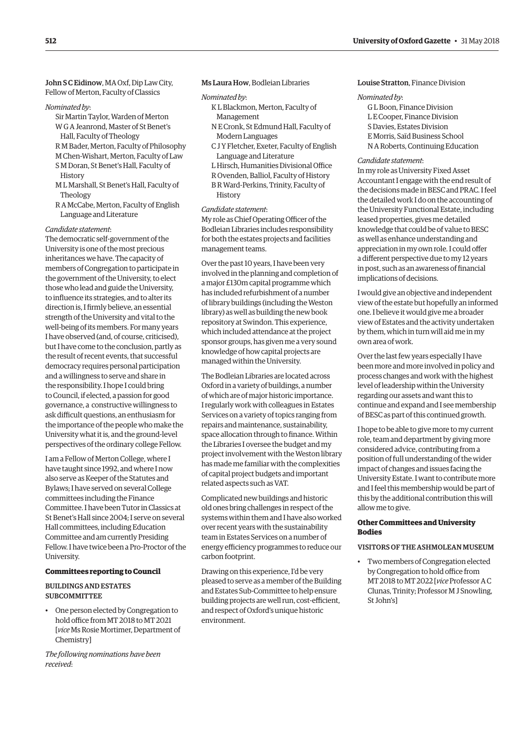John S C Eidinow, MA Oxf, Dip Law City, Fellow of Merton, Faculty of Classics

#### *Nominated by*:

- Sir Martin Taylor, Warden of Merton
- W G A Jeanrond, Master of St Benet's
- Hall, Faculty of Theology
- R M Bader, Merton, Faculty of Philosophy M Chen-Wishart, Merton, Faculty of Law
- S M Doran, St Benet's Hall, Faculty of
- **History**
- M L Marshall, St Benet's Hall, Faculty of Theology
- R A McCabe, Merton, Faculty of English Language and Literature

# *Candidate statement*:

The democratic self-government of the University is one of the most precious inheritances we have. The capacity of members of Congregation to participate in the government of the University, to elect those who lead and guide the University, to influence its strategies, and to alter its direction is, I firmly believe, an essential strength of the University and vital to the well-being of its members. For many years I have observed (and, of course, criticised), but I have come to the conclusion, partly as the result of recent events, that successful democracy requires personal participation and a willingness to serve and share in the responsibility. I hope I could bring to Council, if elected, a passion for good governance, a constructive willingness to ask difficult questions, an enthusiasm for the importance of the people who make the University what it is, and the ground-level perspectives of the ordinary college Fellow.

I am a Fellow of Merton College, where I have taught since 1992, and where I now also serve as Keeper of the Statutes and Bylaws; I have served on several College committees including the Finance Committee. I have been Tutor in Classics at St Benet's Hall since 2004; I serve on several Hall committees, including Education Committee and am currently Presiding Fellow. I have twice been a Pro-Proctor of the University.

# **Committees reporting to Council**

#### BUILDINGS AND ESTATES **SUBCOMMITTEE**

• One person elected by Congregation to hold office from MT 2018 to MT 2021 [*vice* Ms Rosie Mortimer, Department of Chemistry]

*The following nominations have been received*:

# Ms Laura How, Bodleian Libraries

#### *Nominated by*:

- K L Blackmon, Merton, Faculty of Management
- N E Cronk, St Edmund Hall, Faculty of Modern Languages
- C J Y Fletcher, Exeter, Faculty of English Language and Literature
- L Hirsch, Humanities Divisional Office
- R Ovenden, Balliol, Faculty of History B R Ward-Perkins, Trinity, Faculty of **History**

#### *Candidate statement*:

My role as Chief Operating Officer of the Bodleian Libraries includes responsibility for both the estates projects and facilities management teams.

Over the past 10 years, I have been very involved in the planning and completion of a major £130m capital programme which has included refurbishment of a number of library buildings (including the Weston library) as well as building the new book repository at Swindon. This experience, which included attendance at the project sponsor groups, has given me a very sound knowledge of how capital projects are managed within the University.

The Bodleian Libraries are located across Oxford in a variety of buildings, a number of which are of major historic importance. I regularly work with colleagues in Estates Services on a variety of topics ranging from repairs and maintenance, sustainability, space allocation through to finance. Within the Libraries I oversee the budget and my project involvement with the Weston library has made me familiar with the complexities of capital project budgets and important related aspects such as VAT.

Complicated new buildings and historic old ones bring challenges in respect of the systems within them and I have also worked over recent years with the sustainability team in Estates Services on a number of energy efficiency programmes to reduce our carbon footprint.

Drawing on this experience, I'd be very pleased to serve as a member of the Building and Estates Sub-Committee to help ensure building projects are well run, cost-efficient, and respect of Oxford's unique historic environment.

# Louise Stratton, Finance Division

#### *Nominated by*:

G L Boon, Finance Division L E Cooper, Finance Division S Davies, Estates Division E Morris, Saïd Business School N A Roberts, Continuing Education

#### *Candidate statement*:

In my role as University Fixed Asset Accountant I engage with the end result of the decisions made in BESC and PRAC. I feel the detailed work I do on the accounting of the University Functional Estate, including leased properties, gives me detailed knowledge that could be of value to BESC as well as enhance understanding and appreciation in my own role. I could offer a different perspective due to my 12 years in post, such as an awareness of financial implications of decisions.

I would give an objective and independent view of the estate but hopefully an informed one. I believe it would give me a broader view of Estates and the activity undertaken by them, which in turn will aid me in my own area of work.

Over the last few years especially I have been more and more involved in policy and process changes and work with the highest level of leadership within the University regarding our assets and want this to continue and expand and I see membership of BESC as part of this continued growth.

I hope to be able to give more to my current role, team and department by giving more considered advice, contributing from a position of full understanding of the wider impact of changes and issues facing the University Estate. I want to contribute more and I feel this membership would be part of this by the additional contribution this will allow me to give.

# **Other Committees and University Bodies**

#### VISITORS OF THE ASHMOLEAN MUSEUM

• Two members of Congregation elected by Congregation to hold office from MT 2018 to MT 2022 [*vice* Professor A C Clunas, Trinity; Professor M J Snowling, St John's]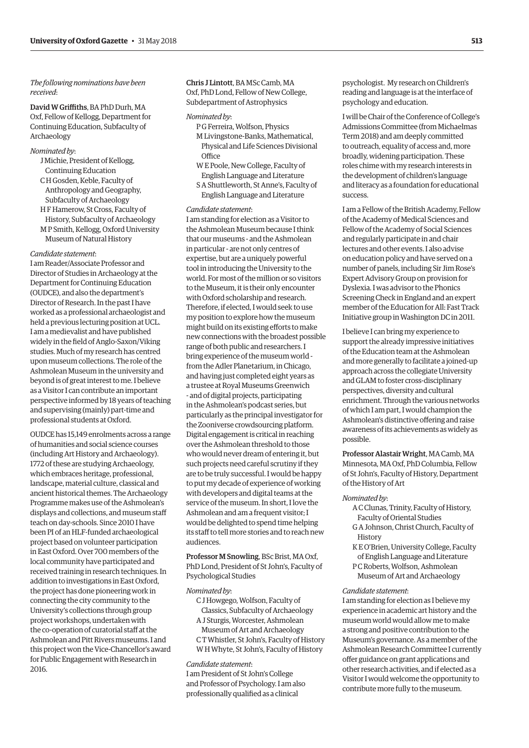# *The following nominations have been received*:

David W Griffiths, BA PhD Durh, MA Oxf, Fellow of Kellogg, Department for Continuing Education, Subfaculty of Archaeology

# *Nominated by*:

- J Michie, President of Kellogg, Continuing Education
- C H Gosden, Keble, Faculty of Anthropology and Geography, Subfaculty of Archaeology
- H F Hamerow, St Cross, Faculty of History, Subfaculty of Archaeology M P Smith, Kellogg, Oxford University Museum of Natural History

#### *Candidate statement*:

I am Reader/Associate Professor and Director of Studies in Archaeology at the Department for Continuing Education (OUDCE), and also the department's Director of Research. In the past I have worked as a professional archaeologist and held a previous lecturing position at UCL. I am a medievalist and have published widely in the field of Anglo-Saxon/Viking studies. Much of my research has centred upon museum collections. The role of the Ashmolean Museum in the university and beyond is of great interest to me. I believe as a Visitor I can contribute an important perspective informed by 18 years of teaching and supervising (mainly) part-time and professional students at Oxford.

OUDCE has 15,149 enrolments across a range of humanities and social science courses (including Art History and Archaeology). 1772 of these are studying Archaeology, which embraces heritage, professional, landscape, material culture, classical and ancient historical themes. The Archaeology Programme makes use of the Ashmolean's displays and collections, and museum staff teach on day-schools. Since 2010 I have been PI of an HLF-funded archaeological project based on volunteer participation in East Oxford. Over 700 members of the local community have participated and received training in research techniques. In addition to investigations in East Oxford, the project has done pioneering work in connecting the city community to the University's collections through group project workshops, undertaken with the co-operation of curatorial staff at the Ashmolean and Pitt Rivers museums. I and this project won the Vice-Chancellor's award for Public Engagement with Research in 2016.

# Chris J Lintott, BA MSc Camb, MA Oxf, PhD Lond, Fellow of New College, Subdepartment of Astrophysics

#### *Nominated by*:

- P G Ferreira, Wolfson, Physics M Livingstone-Banks, Mathematical, Physical and Life Sciences Divisional **Office**
- W E Poole, New College, Faculty of English Language and Literature S A Shuttleworth, St Anne's, Faculty of
- English Language and Literature

# *Candidate statement*:

I am standing for election as a Visitor to the Ashmolean Museum because I think that our museums - and the Ashmolean in particular - are not only centres of expertise, but are a uniquely powerful tool in introducing the University to the world. For most of the million or so visitors to the Museum, it is their only encounter with Oxford scholarship and research. Therefore, if elected, I would seek to use my position to explore how the museum might build on its existing efforts to make new connections with the broadest possible range of both public and researchers. I bring experience of the museum world from the Adler Planetarium, in Chicago, and having just completed eight years as a trustee at Royal Museums Greenwich - and of digital projects, participating in the Ashmolean's podcast series, but particularly as the principal investigator for the Zooniverse crowdsourcing platform. Digital engagement is critical in reaching over the Ashmolean threshold to those who would never dream of entering it, but such projects need careful scrutiny if they are to be truly successful. I would be happy to put my decade of experience of working with developers and digital teams at the service of the museum. In short, I love the Ashmolean and am a frequent visitor; I would be delighted to spend time helping its staff to tell more stories and to reach new audiences.

Professor M Snowling, BSc Brist, MA Oxf, PhD Lond, President of St John's, Faculty of Psychological Studies

# *Nominated by*:

- C J Howgego, Wolfson, Faculty of Classics, Subfaculty of Archaeology A J Sturgis, Worcester, Ashmolean
- Museum of Art and Archaeology C T Whistler, St John's, Faculty of History
- W H Whyte, St John's, Faculty of History *Candidate statement*:

I am President of St John's College and Professor of Psychology. I am also professionally qualified as a clinical

psychologist. My research on Children's reading and language is at the interface of psychology and education.

I will be Chair of the Conference of College's Admissions Committee (from Michaelmas Term 2018) and am deeply committed to outreach, equality of access and, more broadly, widening participation. These roles chime with my research interests in the development of children's language and literacy as a foundation for educational success.

I am a Fellow of the British Academy, Fellow of the Academy of Medical Sciences and Fellow of the Academy of Social Sciences and regularly participate in and chair lectures and other events. I also advise on education policy and have served on a number of panels, including Sir Jim Rose's Expert Advisory Group on provision for Dyslexia. I was advisor to the Phonics Screening Check in England and an expert member of the Education for All: Fast Track Initiative group in Washington DC in 2011.

I believe I can bring my experience to support the already impressive initiatives of the Education team at the Ashmolean and more generally to facilitate a joined-up approach across the collegiate University and GLAM to foster cross-disciplinary perspectives, diversity and cultural enrichment. Through the various networks of which I am part, I would champion the Ashmolean's distinctive offering and raise awareness of its achievements as widely as possible.

Professor Alastair Wright, MA Camb, MA Minnesota, MA Oxf, PhD Columbia, Fellow of St John's, Faculty of History, Department of the History of Art

## *Nominated by*:

- A C Clunas, Trinity, Faculty of History, Faculty of Oriental Studies
- G A Johnson, Christ Church, Faculty of **History**
- K E O'Brien, University College, Faculty of English Language and Literature P C Roberts, Wolfson, Ashmolean Museum of Art and Archaeology

#### *Candidate statement*:

I am standing for election as I believe my experience in academic art history and the museum world would allow me to make a strong and positive contribution to the Museum's governance. As a member of the Ashmolean Research Committee I currently offer guidance on grant applications and other research activities, and if elected as a Visitor I would welcome the opportunity to contribute more fully to the museum.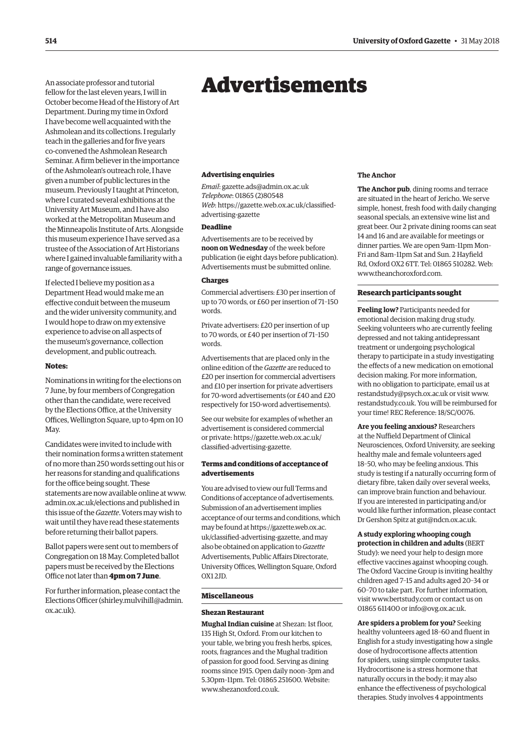<span id="page-9-0"></span>An associate professor and tutorial fellow for the last eleven years, I will in October become Head of the History of Art Department. During my time in Oxford I have become well acquainted with the Ashmolean and its collections. I regularly teach in the galleries and for five years co-convened the Ashmolean Research Seminar. A firm believer in the importance of the Ashmolean's outreach role, I have given a number of public lectures in the museum. Previously I taught at Princeton, where I curated several exhibitions at the University Art Museum, and I have also worked at the Metropolitan Museum and the Minneapolis Institute of Arts. Alongside this museum experience I have served as a trustee of the Association of Art Historians where I gained invaluable familiarity with a range of governance issues.

If elected I believe my position as a Department Head would make me an effective conduit between the museum and the wider university community, and I would hope to draw on my extensive experience to advise on all aspects of the museum's governance, collection development, and public outreach.

# **Notes:**

Nominations in writing for the elections on 7 June, by four members of Congregation other than the candidate, were received by the Elections Office, at the University Offices, Wellington Square, up to 4pm on 10 May.

Candidates were invited to include with their nomination forms a written statement of no more than 250 words setting out his or her reasons for standing and qualifications for the office being sought. These statements are now available online at [www.](http://www.admin.ox.ac.uk/elections) [admin.ox.ac.uk/elections an](http://www.admin.ox.ac.uk/elections)d published in this issue of the *Gazette*. Voters may wish to wait until they have read these statements before returning their ballot papers.

Ballot papers were sent out to members of Congregation on 18 May. Completed ballot papers must be received by the Elections Office not later than **4pm on 7 June**.

For further information, please contact the Elections Officer [\(shirley.mulvihill@admin.](mailto:shirley.mulvihill@admin.ox.ac.uk) [ox.ac.uk\).](mailto:shirley.mulvihill@admin.ox.ac.uk)

# Advertisements

#### **Advertising enquiries**

*Email*: [gazette.ads@admin.ox.ac.uk](mailto:gazette.ads@admin.ox.ac.uk) *Telephone*: 01865 (2)80548 *Web*[: https://gazette.web.ox.ac.uk/classified](https://gazette.web.ox.ac.uk/classified-advertising-gazette)advertising-gazette

# **Deadline**

Advertisements are to be received by **noon on Wednesday** of the week before publication (ie eight days before publication). Advertisements must be submitted online.

#### **Charges**

Commercial advertisers: £30 per insertion of up to 70 words, or £60 per insertion of 71–150 words.

Private advertisers: £20 per insertion of up to 70 words, or £40 per insertion of 71–150 words.

Advertisements that are placed only in the online edition of the *Gazette* are reduced to £20 per insertion for commercial advertisers and £10 per insertion for private advertisers for 70-word advertisements (or £40 and £20 respectively for 150-word advertisements).

See our website for examples of whether an advertisement is considered commercial [or private: https://gazette.web.ox.ac.uk/](https://gazette.web.ox.ac.uk/classified-advertising-gazette) classified-advertising-gazette.

# **Terms and conditions of acceptance of advertisements**

You are advised to view our full Terms and Conditions of acceptance of advertisements. Submission of an advertisement implies acceptance of our terms and conditions, which may be found at https://gazette.web.ox.ac. [uk/classified-advertising-gazette, and may](https://gazette.web.ox.ac.uk/classified-advertising-gazette)  also be obtained on application to *Gazette* Advertisements, Public Affairs Directorate, University Offices, Wellington Square, Oxford OX1 2JD.

#### **Miscellaneous**

#### **Shezan Restaurant**

**Mughal Indian cuisine** at Shezan: 1st floor, 135 High St, Oxford. From our kitchen to your table, we bring you fresh herbs, spices, roots, fragrances and the Mughal tradition of passion for good food. Serving as dining rooms since 1915. Open daily noon–3pm and 5.30pm–11pm. Tel: 01865 251600. Website: www.shezanoxford.co.uk

#### **The Anchor**

**The Anchor pub**, dining rooms and terrace are situated in the heart of Jericho. We serve simple, honest, fresh food with daily changing seasonal specials, an extensive wine list and great beer. Our 2 private dining rooms can seat 14 and 16 and are available for meetings or dinner parties. We are open 9am–11pm Mon– Fri and 8am–11pm Sat and Sun. 2 Hayfield Rd, Oxford OX2 6TT. Tel: 01865 510282. Web: [www.theanchoroxford.com.](http://www.theanchoroxford.com)

# **Research participants sought**

**Feeling low?** Participants needed for emotional decision making drug study. Seeking volunteers who are currently feeling depressed and not taking antidepressant treatment or undergoing psychological therapy to participate in a study investigating the effects of a new medication on emotional decision making. For more information, with no obligation to participate, email us at [restandstudy@psych.ox.ac.uk or](mailto:restandstudy@psych.ox.ac.uk) visit [www.](http://www.restandstudy.co.uk) [restandstudy.co.uk. Yo](http://www.restandstudy.co.uk)u will be reimbursed for your time! REC Reference: 18/SC/0076.

**Are you feeling anxious?** Researchers at the Nuffield Department of Clinical Neurosciences, Oxford University, are seeking healthy male and female volunteers aged 18–50, who may be feeling anxious. This study is testing if a naturally occurring form of dietary fibre, taken daily over several weeks, can improve brain function and behaviour. If you are interested in participating and/or would like further information, please contact Dr Gershon Spitz at [gut@ndcn.ox.ac.uk.](mailto:gut@ndcn.ox.ac.uk)

# **A study exploring whooping cough**

**protection in children and adults** (BERT Study): we need your help to design more effective vaccines against whooping cough. The Oxford Vaccine Group is inviting healthy children aged 7–15 and adults aged 20–34 or 60–70 to take part. For further information, visit [www.bertstudy.com or](http://www.bertstudy.com) contact us on 01865 611400 or [info@ovg.ox.ac.uk.](mailto:info@ovg.ox.ac.uk)

**Are spiders a problem for you?** Seeking healthy volunteers aged 18–60 and fluent in English for a study investigating how a single dose of hydrocortisone affects attention for spiders, using simple computer tasks. Hydrocortisone is a stress hormone that naturally occurs in the body; it may also enhance the effectiveness of psychological therapies. Study involves 4 appointments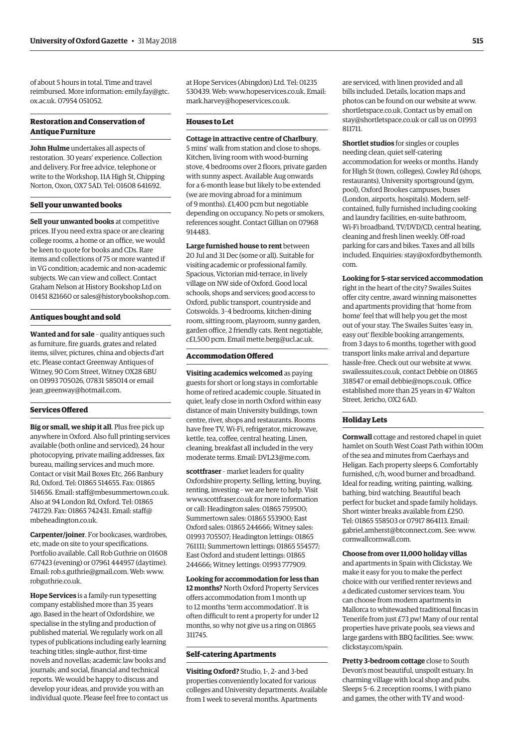of about 5 hours in total. Time and travel [reimbursed. More information: emily.fay@gtc.](mailto:emily.fay@gtc.ox.ac.uk) ox.ac.uk. 07954 051052.

# **Restoration and Conservation of Antique Furniture**

**John Hulme** undertakes all aspects of restoration. 30 years' experience. Collection and delivery. For free advice, telephone or write to the Workshop, 11A High St, Chipping Norton, Oxon, OX7 5AD. Tel: 01608 641692.

# **Sell your unwanted books**

**Sell your unwanted books** at competitive prices. If you need extra space or are clearing college rooms, a home or an office, we would be keen to quote for books and CDs. Rare items and collections of 75 or more wanted if in VG condition; academic and non-academic subjects. We can view and collect. Contact Graham Nelson at History Bookshop Ltd on 01451 821660 or [sales@historybookshop.com.](mailto:sales@historybookshop.com)

# **Antiques bought and sold**

**Wanted and for sale** – quality antiques such as furniture, fire guards, grates and related items, silver, pictures, china and objects d'art etc. Please contact Greenway Antiques of Witney, 90 Corn Street, Witney OX28 6BU on 01993 705026, 07831 585014 or email [jean\\_greenway@hotmail.com.](mailto:jean_greenway@hotmail.com)

#### **Services Offered**

**Big or small, we ship it all**. Plus free pick up anywhere in Oxford. Also full printing services available (both online and serviced), 24 hour photocopying, private mailing addresses, fax bureau, mailing services and much more. Contact or visit Mail Boxes Etc, 266 Banbury Rd, Oxford. Tel: 01865 514655. Fax: 01865 514656. Email: [staff@mbesummertown.co.uk.](mailto:staff@mbesummertown.co.uk)  Also at 94 London Rd, Oxford. Tel: 01865 [741729. Fax: 01865 742431. Email: staff@](mailto:staff@mbeheadington.co.uk) mbeheadington.co.uk.

**Carpenter/joiner**. For bookcases, wardrobes, etc, made on site to your specifications. Portfolio available. Call Rob Guthrie on 01608 677423 (evening) or 07961 444957 (daytime). Email: [rob.s.guthrie@gmail.com. W](mailto:rob.s.guthrie@gmail.com)eb: [www.](http://www.robguthrie.co.uk) [robguthrie.co.uk.](http://www.robguthrie.co.uk)

**Hope Services** is a family-run typesetting company established more than 35 years ago. Based in the heart of Oxfordshire, we specialise in the styling and production of published material. We regularly work on all types of publications including early learning teaching titles; single-author, first-time novels and novellas; academic law books and journals; and social, financial and technical reports. We would be happy to discuss and develop your ideas, and provide you with an individual quote. Please feel free to contact us at Hope Services (Abingdon) Ltd. Tel: 01235 530439. Web: [www.hopeservices.co.uk. Em](http://www.hopeservices.co.uk)ail: [mark.harvey@hopeservices.co.uk.](mailto:mark.harvey@hopeservices.co.uk)

# **Houses to Let**

**Cottage in attractive centre of Charlbury**, 5 mins' walk from station and close to shops. Kitchen, living room with wood-burning stove, 4 bedrooms over 2 floors, private garden with sunny aspect. Available Aug onwards for a 6-month lease but likely to be extended (we are moving abroad for a minimum of 9 months). £1,400 pcm but negotiable depending on occupancy. No pets or smokers, references sought. Contact Gillian on 07968 914483.

**Large furnished house to rent** between 20 Jul and 31 Dec (some or all). Suitable for visiting academic or professional family. Spacious, Victorian mid-terrace, in lively village on NW side of Oxford. Good local schools, shops and services; good access to Oxford, public transport, countryside and Cotswolds. 3–4 bedrooms, kitchen-dining room, sitting room, playroom, sunny garden, garden office, 2 friendly cats. Rent negotiable, *c*£1,500 pcm. Email [mette.berg@ucl.ac.uk.](mailto:mette.berg@ucl.ac.uk)

# **Accommodation Offered**

**Visiting academics welcomed** as paying guests for short or long stays in comfortable home of retired academic couple. Situated in quiet, leafy close in north Oxford within easy distance of main University buildings, town centre, river, shops and restaurants. Rooms have free TV, Wi-Fi, refrigerator, microwave, kettle, tea, coffee, central heating. Linen, cleaning, breakfast all included in the very moderate terms. Email: [DVL23@me.com.](mailto:DVL23@me.com)

**scottfraser** – market leaders for quality Oxfordshire property. Selling, letting, buying, renting, investing – we are here to help. Visit [www.scottfraser.co.uk fo](http://www.scottfraser.co.uk)r more information or call: Headington sales: 01865 759500; Summertown sales: 01865 553900; East Oxford sales: 01865 244666; Witney sales: 01993 705507; Headington lettings: 01865 761111; Summertown lettings: 01865 554577; East Oxford and student lettings: 01865 244666; Witney lettings: 01993 777909.

**Looking for accommodation for less than 12 months?** North Oxford Property Services offers accommodation from 1 month up to 12 months 'term accommodation'. It is often difficult to rent a property for under 12 months, so why not give us a ring on 01865 311745.

# **Self-catering Apartments**

**Visiting Oxford?** Studio, 1-, 2- and 3-bed properties conveniently located for various colleges and University departments. Available from 1 week to several months. Apartments

are serviced, with linen provided and all bills included. Details, location maps and photos can be found on our website at [www.](http://www.shortletspace.co.uk) [shortletspace.co.uk. Co](http://www.shortletspace.co.uk)ntact us by email on [stay@shortletspace.co.uk or](mailto:stay@shortletspace.co.uk) call us on 01993 811711.

**Shortlet studios** for singles or couples needing clean, quiet self-catering accommodation for weeks or months. Handy for High St (town, colleges), Cowley Rd (shops, restaurants), University sportsground (gym, pool), Oxford Brookes campuses, buses (London, airports, hospitals). Modern, selfcontained, fully furnished including cooking and laundry facilities, en-suite bathroom, Wi-Fi broadband, TV/DVD/CD, central heating, cleaning and fresh linen weekly. Off-road parking for cars and bikes. Taxes and all bills [included. Enquiries: stay@oxfordbythemonth.](mailto:stay@oxfordbythemonth.com) com.

**Looking for 5-star serviced accommodation** right in the heart of the city? Swailes Suites offer city centre, award winning maisonettes and apartments providing that 'home from home' feel that will help you get the most out of your stay. The Swailes Suites 'easy in, easy out' flexible booking arrangements, from 3 days to 6 months, together with good transport links make arrival and departure hassle-free. Check out our website at [www.](http://www.swailessuites.co.uk) [swailessuites.co.uk, co](http://www.swailessuites.co.uk)ntact Debbie on 01865 318547 or email [debbie@nops.co.uk. Of](mailto:debbie@nops.co.uk)fice established more than 25 years in 47 Walton Street, Jericho, OX2 6AD.

#### **Holiday Lets**

**Cornwall** cottage and restored chapel in quiet hamlet on South West Coast Path within 100m of the sea and minutes from Caerhays and Heligan. Each property sleeps 6. Comfortably furnished, c/h, wood burner and broadband. Ideal for reading, writing, painting, walking, bathing, bird watching. Beautiful beach perfect for bucket and spade family holidays. Short winter breaks available from £250. Tel: 01865 558503 or 07917 864113. Email: [gabriel.amherst@btconnect.com. Se](mailto:gabriel.amherst@btconnect.com)e: [www.](http://www.cornwallcornwall.com) [cornwallcornwall.com.](http://www.cornwallcornwall.com)

#### **Choose from over 11,000 holiday villas**

and apartments in Spain with Clickstay. We make it easy for you to make the perfect choice with our verified renter reviews and a dedicated customer services team. You can choose from modern apartments in Mallorca to whitewashed traditional fincas in Tenerife from just £73 pw! Many of our rental properties have private pools, sea views and large gardens with BBQ facilities. See: [www.](http://www.clickstay.com/spain) [clickstay.com/spain.](http://www.clickstay.com/spain)

**Pretty 3-bedroom cottage** close to South Devon's most beautiful, unspoilt estuary. In charming village with local shop and pubs. Sleeps 5–6. 2 reception rooms, 1 with piano and games, the other with TV and wood